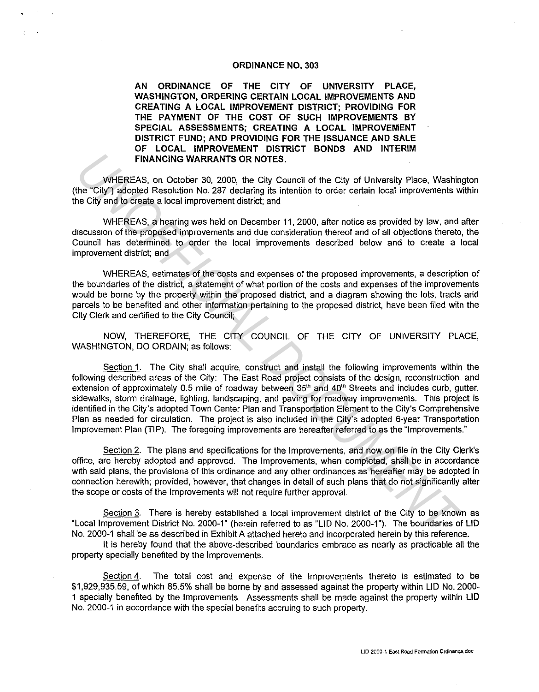#### ORDINANCE NO. 303

AN ORDINANCE OF THE CITY OF UNIVERSITY PLACE, WASHINGTON, ORDERING CERTAIN LOCAL IMPROVEMENTS AND CREATING A LOCAL IMPROVEMENT DISTRICT; PROVIDING FOR THE PAYMENT OF THE COST OF SUCH IMPROVEMENTS BY SPECIAL ASSESSMENTS; CREATING A LOCAL IMPROVEMENT DISTRICT FUND; AND PROVIDING FOR THE ISSUANCE AND SALE OF LOCAL IMPROVEMENT DISTRICT BONDS AND INTERIM FINANCING WARRANTS OR NOTES.

WHEREAS, on October 30, 2000, the City Council of the City of University Place, Washington (the "City") adopted Resolution No. 287 declaring its intention to order certain local improvements within the City and to create a local improvement district; and

WHEREAS, a hearing was held on December 11, 2000, after notice as provided by law. and after discussion of the proposed improvements and due consideration thereof and of all objections thereto, the Council has determined to order the local improvements described below and to create a local improvement district; and

WHEREAS, estimates of the costs and expenses of the proposed improvements, a description of the boundaries of the district, a statement of what portion of the costs and expenses of the improvements would be borne by the property within the proposed district, and a diagram showing the lots, tracts arid parcels to be benefited and other information pertaining to the proposed district, have been filed with the City Clerk and certified to the City Council;

NOW, THEREFORE, THE CITY COUNCIL OF THE CITY OF UNIVERSITY PLACE, WASHINGTON, DO ORDAIN; as follows:

Section 1. The City shall acquire, construct and install the following improvements within the following described areas of the City: The East Road project consists of the design, reconstruction, and extension of approximately 0.5 mile of roadway between 35<sup>th</sup> and 40<sup>th</sup> Streets and includes curb, gutter, sidewalks, storm drainage, lighting, landscaping, and paving for roadway improvements. This project is identified in the City's adopted Town Center Plan and Transportation Element to the City's Comprehensive Plan as needed for circulation. The project is also included in the City's adopted 6-year Transportation Improvement Plan (TIP). The foregoing improvements are hereafter referred to as the "Improvements." **ENANCIRY OF MOTES.**<br>
WHEREAS, an October 30, 2000, the City of University Place, Washine<br>
UNIFICIALS, an October 30, 2000, the City of University Place, Washine<br>
the City") adopted Resolution No. 287 declaring its intenti

Section 2. The plans and specifications for the Improvements, and now on file in the City Clerk's office, are hereby adopted and approved. The Improvements, when completed, shall be in accordance with said plans, the provisions of this ordinance and any other ordinances as hereafter may be adopted in connection herewith; provided, however, that changes in detail of such plans that do not significantly alter the scope or costs of the Improvements will not require further approval.

Section 3. There is hereby established a local improvement district of the City to be known as "Local Improvement District No. 2000-1" (herein referred to as "LID No. 2000-1"). The boundaries of LID No. 2000-1 shall be as described in Exhibit A attached hereto and incorporated herein by this reference.

It is hereby found that the above-described boundaries embrace as nearly as practicable all the property specially benefited by the Improvements.

Section 4. The total cost and expense of the Improvements thereto is estimated to be \$1,929,935.59, of which 85.5% shall be borne by and assessed against the property within LID No. 2000- 1 specially benefited by the Improvements. Assessments shall be made against the property within LID No. 2000-1 in accordance with the special benefits accruing to such property.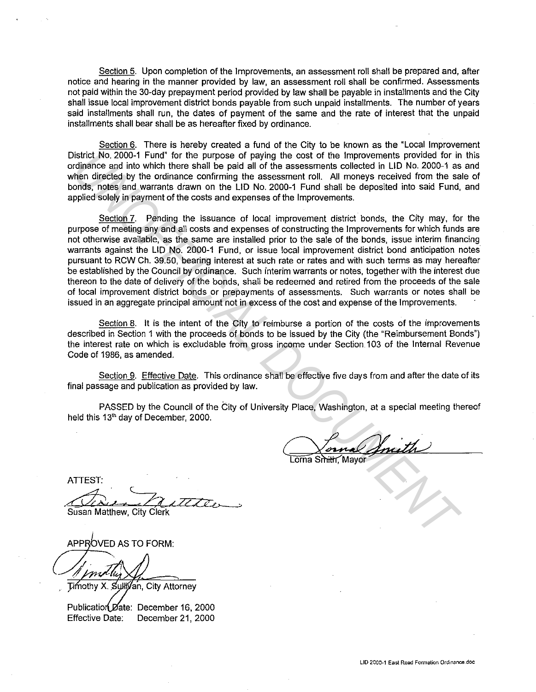Section 5. Upon completion of the Improvements, an assessment roll shall be prepared and, after notice and hearing in the manner provided by law, an assessment roll shall be confirmed. Assessments not paid within the 30-day prepayment period provided by law shall be payable in installments and the City shall issue local improvement district bonds payable from such unpaid installments. The number of years said installments shall run, the dates of payment of the same and the rate of interest that the unpaid installments shall bear shall be as hereafter fixed by ordinance.

Section 6. There is hereby created a fund of the City to be known as the "Local Improvement District No. 2000-1 Fund" for the purpose of paying the cost of the Improvements provided for in this ordinance and into which there shall be paid all of the assessments collected in LID No. 2000-1 as and when directed by the ordinance confirming the assessment roll. All moneys received from the sale of bonds, notes and warrants drawn on the LID No. 2000-1 Fund shall be deposited into said Fund, and applied solely in payment of the costs and expenses of the Improvements.

Section 7. Pending the issuance of local improvement district bonds, the City may, for the purpose of meeting any and all costs and expenses of constructing the Improvements for which funds are not otherwise available, as the same are installed prior to the sale of the bonds, issue interim financing warrants against the LID No. 2000-1 Fund, or issue local improvement district bond anticipation notes pursuant to RCW Ch. 39.50, bearing interest at such rate or rates and with such terms as may hereafter be established by the Council by ordinance. Such interim warrants or notes, together with the interest due thereon to the date of delivery of the bonds, shall be redeemed and retired from the proceeds of the sale of local improvement district bonds or prepayments of assessments. Such warrants or notes shall be issued in an aggregate principal amount not in excess of the cost and expense of the Improvements. **Unitarity No. 2000-1 Fundi for the purpose of paying the cost of the Improvements provided for informations of the Substitute (Note that the provident in the purpose of the UNOFFICIAL DUMENT of the particle of the UN COUM** 

Section 8. It is the intent of the City to reimburse a portion of the costs of the improvements described in Section 1 with the proceeds of bonds to be issued by the City (the "Reimbursement Bonds") the interest rate on which is excludable from gross income under Section 103 of the Internal Revenue Code of 1986, as amended.

Section 9. Effective Date. This ordinance shall be effective five days from and after the date of its final passage and publication as provided by law.

PASSED by the Council of the City of University Place, Washington, at a special meeting thereof held this 13'h day of December, 2000.

ATIEST: misson.<br>Charles Matthew City Clock

Susan Matthew, City Clerk

Timothy X. Sullivan, City Attorney

Publication Date: December 16, 2000 Effective Date: December 21, 2000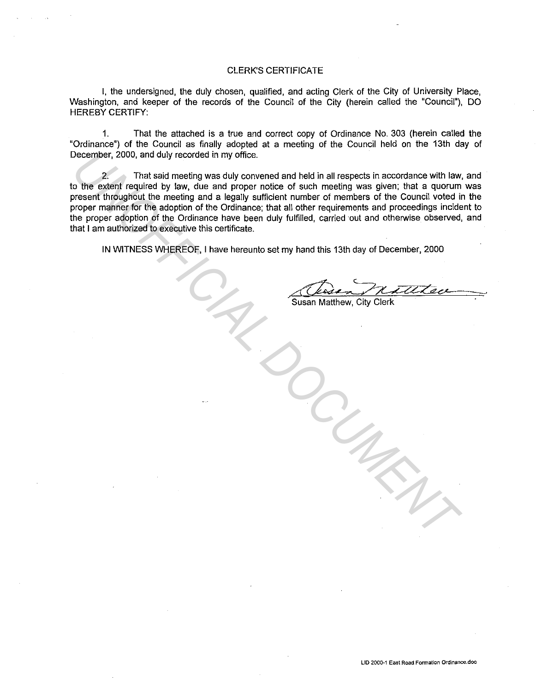### CLERK'S CERTIFICATE

I, the undersigned, the duly chosen, qualified, and acting Clerk of the City of University Place, Washington, and keeper of the records of the Council of the City (herein called the "Council"), DO HEREBY CERTIFY:

1. That the attached is a true and correct copy of Ordinance No. 303 (herein called the "Ordinance") of the Council as finally adopted at a meeting of the Council held on the 13th day of December, 2000, and duly recorded in my office.

2. That said meeting was duly convened and held in all respects in accordance with law, and to the extent required by law, due and proper notice of such meeting was given; that a quorum was present throughout the meeting and a legally sufficient number of members of the Council voted in the proper manner for the adoption of the Ordinance; that all other requirements and proceedings incident to the proper adoption of the Ordinance have been duly fulfilled, carried out and otherwise observed, and that I am authorized to executive this certificate. December, 2000, and duly recorded in my office.<br>
That staid meeting was duly convened and held in all respects in accordance with law<br>
to the exisent required by law, due and proper notice of such meeting was given; that a

IN WITNESS WHEREOF, I have hereunto set my hand this 13th day of December, 2000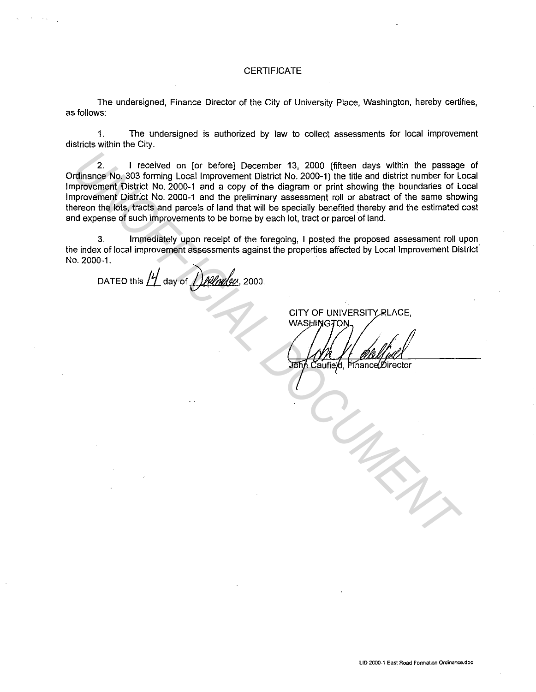### **CERTIFICATE**

The undersigned, Finance Director of the City of University Place, Washington, hereby certifies, as follows:

1. The undersigned is authorized by law to collect assessments for local improvement districts within the City.

2. I received on [or before] December 13, 2000 (fifteen days within the passage of Ordinance No. 303 forming Local Improvement District No. 2000-1) the title and district number for Local Improvement District No. 2000-1 and a copy of the diagram or print showing the boundaries of Local Improvement District No. 2000-1 and the preliminary assessment roll or abstract of the same showing thereon the lots, tracts and parcels of land that will be specially benefited thereby and the estimated cost and expense of such improvements to be borne by each lot, tract or parcel of land. 2. I received on [or before] December 13, 2000 (fifteen days within the passage<br>incrovement District No. 2000-1 and a copy of the diagram or print showing the boundaries for Lindon<br>provement District No. 2000-1 and a copy

3. Immediately upon receipt of the foregoing, I posted the proposed assessment roll upon the index of local improvement assessments against the properties affected by Local Improvement Districf No. 2000-1.

DATED this  $H_1$  day of  $H_2$  day of  $H_3$ 

CITY OF UNIVERSITY RLACE,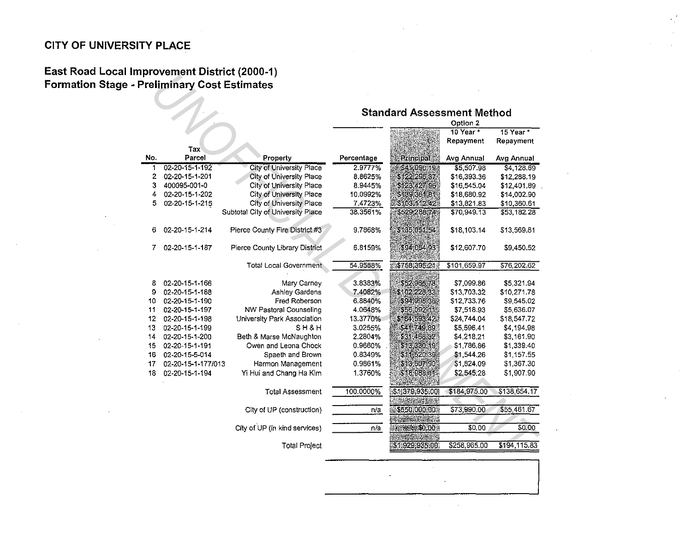# CITY OF UNIVERSITY PLACE

## East Road Local Improvement District (2000-1) Formation Stage - Preliminary Cost Estimates

|     |                    |                                   | <b>Standard Assessment Method</b><br>Option 2 |                                               |                        |                 |
|-----|--------------------|-----------------------------------|-----------------------------------------------|-----------------------------------------------|------------------------|-----------------|
|     |                    |                                   |                                               |                                               | 10 Year $\overline{r}$ | 15 Year *       |
|     | Tax                |                                   |                                               |                                               | Repayment              | Repayment       |
| No. | Parcel             | Property                          | Percentage                                    | Principal                                     | Avg Annual             | Avg Annual      |
| T   | 02-20-15-1-192     | <b>City of University Place</b>   | 2.9777%                                       | \$41,090.19                                   | \$5,507.98             | \$4,128.69      |
| 2   | 02-20-15-1-201     | <b>City of University Place</b>   | 8.8625%                                       | \$122,296.37                                  | \$16,393.36            | \$12,288.19     |
| 3   | 400095-001-0       | <b>City of University Place</b>   | 8.9445%                                       | \$123,427.96                                  | \$16,545.04            | \$12,401.89     |
| 4   | 02-20-15-1-202     | City of University Place          | 10.0992%                                      | \$139 361 819                                 | \$18,680.92            | $-$ \$14,002.90 |
| 5   | 02-20-15-1-215     | City of University Place          | 7.4723%                                       | \$103.112.42                                  | \$13,821.83            | \$10,360.61     |
|     |                    | Subtotal City of University Place | 38.3561%                                      | \$529,288,74                                  | \$70,949.13            | \$53,182.28     |
| 6   | 02-20-15-1-214     | Pierce County Fire District #3    | 9.7868%                                       | \$135'051.54                                  | \$18,103.14            | \$13,569.81     |
| 7   | 02-20-15-1-187     | Pierce County Library District    | 6.8159%                                       | \$94,054,93                                   | \$12,607.70            | \$9,450.52      |
|     |                    | <b>Total Local Government</b>     | 54.9588%                                      | \$758,395.21                                  | \$101,659.97           | \$76,202.62     |
| 8   | 02-20-15-1-166     | Mary Carney                       | 3.8383%                                       | \$52,965,78                                   | \$7,099.86             | \$5,321.94      |
| 9   | 02-20-15-1-188     | Ashley Gardens                    | 7.4082%                                       | \$102 228,33                                  | \$13,703.32            | \$10,271.78     |
| 10  | 02-20-15-1-190     | Fred Roberson                     | 6.8840%                                       | \$94,995.36                                   | \$12,733.76            | \$9,545.02      |
| 11  | 02-20-15-1-197     | NW Pastoral Counseling            | 4.0648%                                       | \$56,092.11                                   | \$7,518.93             | \$5,636.07      |
| 12  | 02-20-15-1-198     | University Park Association       | 13.3770%                                      | \$184,593.42                                  | \$24,744.04            | \$18,547.72     |
| 13  | 02-20-15-1-199     | SH&H                              | 3.0255%                                       | \$41,749.89                                   | \$5,596.41             | \$4,194.98      |
| 14  | 02-20-15-1-200     | Beth & Marse McNaughton           | 2.2804%                                       | \$31.468.32                                   | \$4,218.21             | \$3,161.90      |
| 15  | 02-20-15-1-191     | Owen and Leona Chock              | 0.9660%                                       | \$13,330.19                                   | \$1,786.86             | \$1,339.40      |
| 16  | 02-20-15-5-014     | Spaeth and Brown                  | 0.8349%                                       | \$11,520,39.                                  | \$1,544.26             | \$1,157.55      |
| 17  | 02-20-15-1-177/013 | Harmon Management                 | 0.9861%                                       | \$13,607.90                                   | \$1,824.09             | \$1,367.30      |
| 18  | 02-20-15-1-194     | Yi Hui and Chang Ha Kim           | 1.3760%                                       | \$18,988.11                                   | \$2,545.28             | \$1,907.90      |
|     |                    | <b>Total Assessment</b>           | 100.0000%                                     | \$1,379,935.001                               | \$184,975.00           | \$138,654.17    |
|     |                    | City of UP (construction)         | n/a                                           | \$550,000.00                                  | \$73,990.00            | \$55,461.67     |
|     |                    | City of UP (in kind services)     | n/a                                           | <b>Controllection</b><br><b>WEBBERSOLOGIA</b> | 50.00                  | \$0.00          |
|     |                    | <b>Total Project</b>              |                                               | <b>STEREOGRAPHY</b><br>\$1,929,935.00         | \$258,965.00           | \$194,115.83    |

 $\sim$